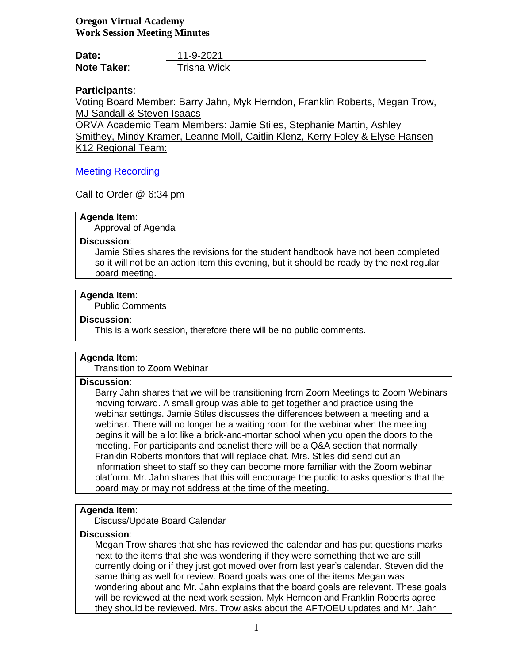# **Oregon Virtual Academy Work Session Meeting Minutes**

| Date:              | 11-9-2021   |
|--------------------|-------------|
| <b>Note Taker:</b> | Trisha Wick |

# **Participants**:

Voting Board Member: Barry Jahn, Myk Herndon, Franklin Roberts, Megan Trow, MJ Sandall & Steven Isaacs

ORVA Academic Team Members: Jamie Stiles, Stephanie Martin, Ashley Smithey, Mindy Kramer, Leanne Moll, Caitlin Klenz, Kerry Foley & Elyse Hansen K12 Regional Team:

# [Meeting Recording](https://us02web.zoom.us/rec/share/8eLO-mY-BLJC3QoSwmPsoYieVpao7hCKKr58vj2UFESHLUvAiOUlGPvLS2H1rOXD.vsfUZTkRw8ZNHnGR?startTime=1636511183000)

Call to Order @ 6:34 pm

## **Agenda Item**:

Approval of Agenda

## **Discussion**:

Jamie Stiles shares the revisions for the student handbook have not been completed so it will not be an action item this evening, but it should be ready by the next regular board meeting.

# **Agenda Item**:

Public Comments

## **Discussion**:

This is a work session, therefore there will be no public comments.

## **Agenda Item**:

Transition to Zoom Webinar

# **Discussion**:

Barry Jahn shares that we will be transitioning from Zoom Meetings to Zoom Webinars moving forward. A small group was able to get together and practice using the webinar settings. Jamie Stiles discusses the differences between a meeting and a webinar. There will no longer be a waiting room for the webinar when the meeting begins it will be a lot like a brick-and-mortar school when you open the doors to the meeting. For participants and panelist there will be a Q&A section that normally Franklin Roberts monitors that will replace chat. Mrs. Stiles did send out an information sheet to staff so they can become more familiar with the Zoom webinar platform. Mr. Jahn shares that this will encourage the public to asks questions that the board may or may not address at the time of the meeting.

## **Agenda Item**:

Discuss/Update Board Calendar

# **Discussion**:

Megan Trow shares that she has reviewed the calendar and has put questions marks next to the items that she was wondering if they were something that we are still currently doing or if they just got moved over from last year's calendar. Steven did the same thing as well for review. Board goals was one of the items Megan was wondering about and Mr. Jahn explains that the board goals are relevant. These goals will be reviewed at the next work session. Myk Herndon and Franklin Roberts agree they should be reviewed. Mrs. Trow asks about the AFT/OEU updates and Mr. Jahn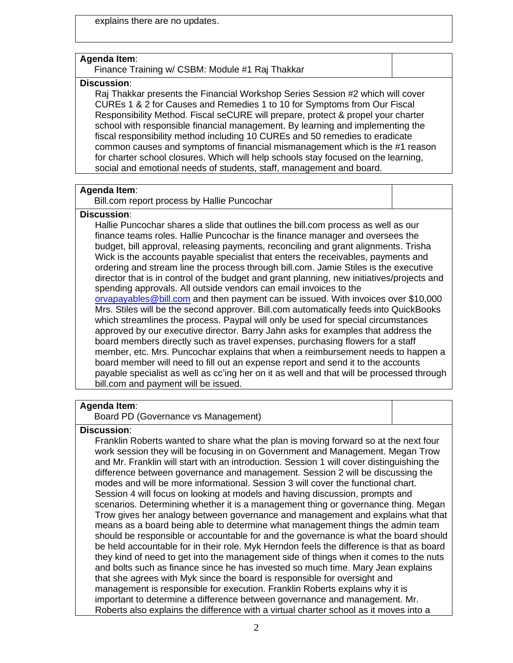explains there are no updates.

#### **Agenda Item**:

Finance Training w/ CSBM: Module #1 Raj Thakkar

#### **Discussion**:

Raj Thakkar presents the Financial Workshop Series Session #2 which will cover CUREs 1 & 2 for Causes and Remedies 1 to 10 for Symptoms from Our Fiscal Responsibility Method. Fiscal seCURE will prepare, protect & propel your charter school with responsible financial management. By learning and implementing the fiscal responsibility method including 10 CUREs and 50 remedies to eradicate common causes and symptoms of financial mismanagement which is the #1 reason for charter school closures. Which will help schools stay focused on the learning, social and emotional needs of students, staff, management and board.

## **Agenda Item**:

Bill.com report process by Hallie Puncochar

# **Discussion**:

Hallie Puncochar shares a slide that outlines the bill.com process as well as our finance teams roles. Hallie Puncochar is the finance manager and oversees the budget, bill approval, releasing payments, reconciling and grant alignments. Trisha Wick is the accounts payable specialist that enters the receivables, payments and ordering and stream line the process through bill.com. Jamie Stiles is the executive director that is in control of the budget and grant planning, new initiatives/projects and spending approvals. All outside vendors can email invoices to the [orvapayables@bill.com](mailto:orvapayables@bill.com) and then payment can be issued. With invoices over \$10,000 Mrs. Stiles will be the second approver. Bill.com automatically feeds into QuickBooks which streamlines the process. Paypal will only be used for special circumstances approved by our executive director. Barry Jahn asks for examples that address the board members directly such as travel expenses, purchasing flowers for a staff member, etc. Mrs. Puncochar explains that when a reimbursement needs to happen a

board member will need to fill out an expense report and send it to the accounts payable specialist as well as cc'ing her on it as well and that will be processed through bill.com and payment will be issued.

### **Agenda Item**:

Board PD (Governance vs Management)

## **Discussion**:

Franklin Roberts wanted to share what the plan is moving forward so at the next four work session they will be focusing in on Government and Management. Megan Trow and Mr. Franklin will start with an introduction. Session 1 will cover distinguishing the difference between governance and management. Session 2 will be discussing the modes and will be more informational. Session 3 will cover the functional chart. Session 4 will focus on looking at models and having discussion, prompts and scenarios. Determining whether it is a management thing or governance thing. Megan Trow gives her analogy between governance and management and explains what that means as a board being able to determine what management things the admin team should be responsible or accountable for and the governance is what the board should be held accountable for in their role. Myk Herndon feels the difference is that as board they kind of need to get into the management side of things when it comes to the nuts and bolts such as finance since he has invested so much time. Mary Jean explains that she agrees with Myk since the board is responsible for oversight and management is responsible for execution. Franklin Roberts explains why it is important to determine a difference between governance and management. Mr. Roberts also explains the difference with a virtual charter school as it moves into a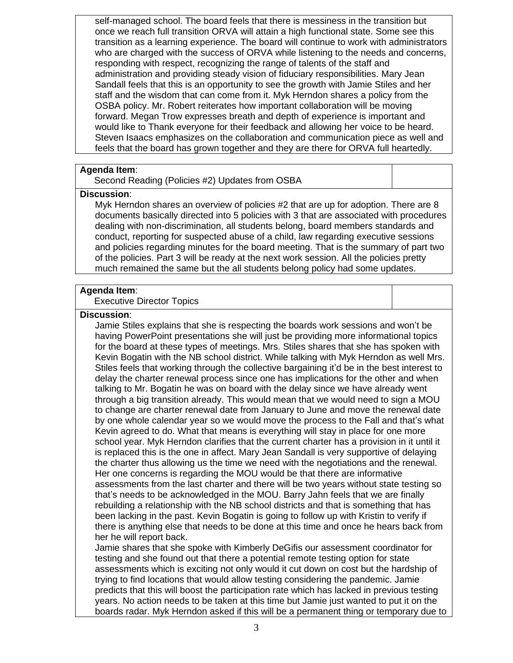self-managed school. The board feels that there is messiness in the transition but once we reach full transition ORVA will attain a high functional state. Some see this transition as a learning experience. The board will continue to work with administrators who are charged with the success of ORVA while listening to the needs and concerns, responding with respect, recognizing the range of talents of the staff and administration and providing steady vision of fiduciary responsibilities. Mary Jean Sandall feels that this is an opportunity to see the growth with Jamie Stiles and her staff and the wisdom that can come from it. Myk Herndon shares a policy from the OSBA policy. Mr. Robert reiterates how important collaboration will be moving forward. Megan Trow expresses breath and depth of experience is important and would like to Thank everyone for their feedback and allowing her voice to be heard. Steven Isaacs emphasizes on the collaboration and communication piece as well and feels that the board has grown together and they are there for ORVA full heartedly.

## **Agenda Item**:

Second Reading (Policies #2) Updates from OSBA

#### **Discussion**:

Myk Herndon shares an overview of policies #2 that are up for adoption. There are 8 documents basically directed into 5 policies with 3 that are associated with procedures dealing with non-discrimination, all students belong, board members standards and conduct, reporting for suspected abuse of a child, law regarding executive sessions and policies regarding minutes for the board meeting. That is the summary of part two of the policies. Part 3 will be ready at the next work session. All the policies pretty much remained the same but the all students belong policy had some updates.

#### **Agenda Item**:

Executive Director Topics

## **Discussion**:

Jamie Stiles explains that she is respecting the boards work sessions and won't be having PowerPoint presentations she will just be providing more informational topics for the board at these types of meetings. Mrs. Stiles shares that she has spoken with Kevin Bogatin with the NB school district. While talking with Myk Herndon as well Mrs. Stiles feels that working through the collective bargaining it'd be in the best interest to delay the charter renewal process since one has implications for the other and when talking to Mr. Bogatin he was on board with the delay since we have already went through a big transition already. This would mean that we would need to sign a MOU to change are charter renewal date from January to June and move the renewal date by one whole calendar year so we would move the process to the Fall and that's what Kevin agreed to do. What that means is everything will stay in place for one more school year. Myk Herndon clarifies that the current charter has a provision in it until it is replaced this is the one in affect. Mary Jean Sandall is very supportive of delaying the charter thus allowing us the time we need with the negotiations and the renewal. Her one concerns is regarding the MOU would be that there are informative assessments from the last charter and there will be two years without state testing so that's needs to be acknowledged in the MOU. Barry Jahn feels that we are finally rebuilding a relationship with the NB school districts and that is something that has been lacking in the past. Kevin Bogatin is going to follow up with Kristin to verify if there is anything else that needs to be done at this time and once he hears back from her he will report back.

Jamie shares that she spoke with Kimberly DeGifis our assessment coordinator for testing and she found out that there a potential remote testing option for state assessments which is exciting not only would it cut down on cost but the hardship of trying to find locations that would allow testing considering the pandemic. Jamie predicts that this will boost the participation rate which has lacked in previous testing years. No action needs to be taken at this time but Jamie just wanted to put it on the boards radar. Myk Herndon asked if this will be a permanent thing or temporary due to